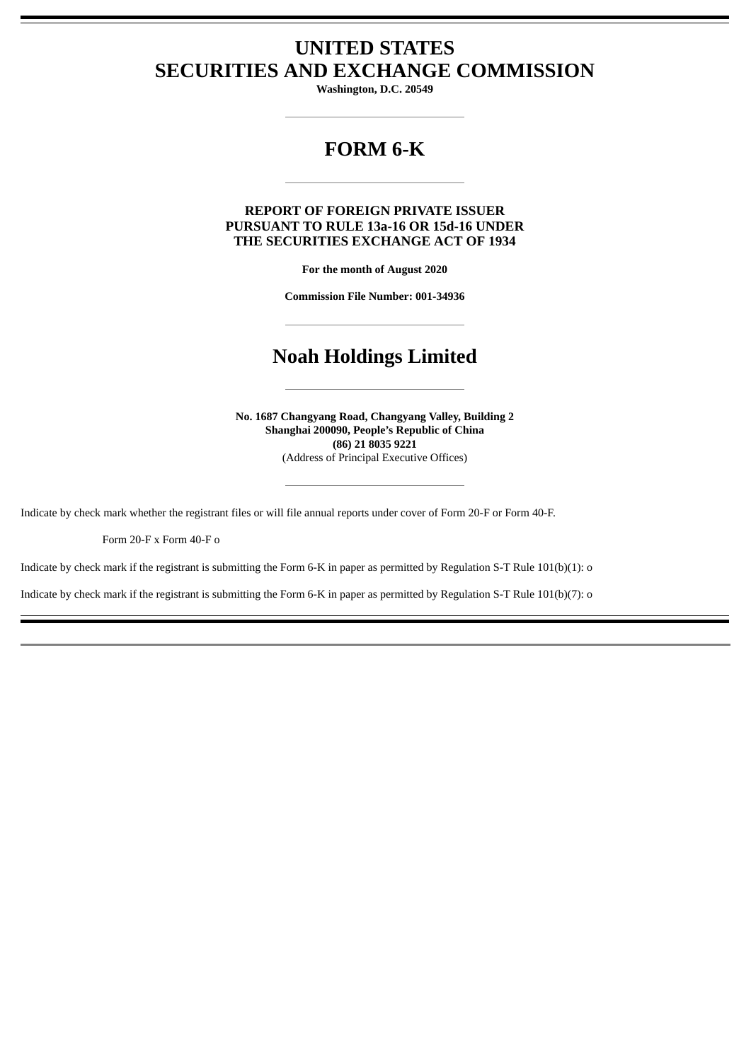# **UNITED STATES SECURITIES AND EXCHANGE COMMISSION**

**Washington, D.C. 20549**

# **FORM 6-K**

## **REPORT OF FOREIGN PRIVATE ISSUER PURSUANT TO RULE 13a-16 OR 15d-16 UNDER THE SECURITIES EXCHANGE ACT OF 1934**

**For the month of August 2020**

**Commission File Number: 001-34936**

# **Noah Holdings Limited**

**No. 1687 Changyang Road, Changyang Valley, Building 2 Shanghai 200090, People's Republic of China (86) 21 8035 9221** (Address of Principal Executive Offices)

Indicate by check mark whether the registrant files or will file annual reports under cover of Form 20-F or Form 40-F.

Form 20-F x Form 40-F o

Indicate by check mark if the registrant is submitting the Form 6-K in paper as permitted by Regulation S-T Rule 101(b)(1): o

Indicate by check mark if the registrant is submitting the Form 6-K in paper as permitted by Regulation S-T Rule 101(b)(7): o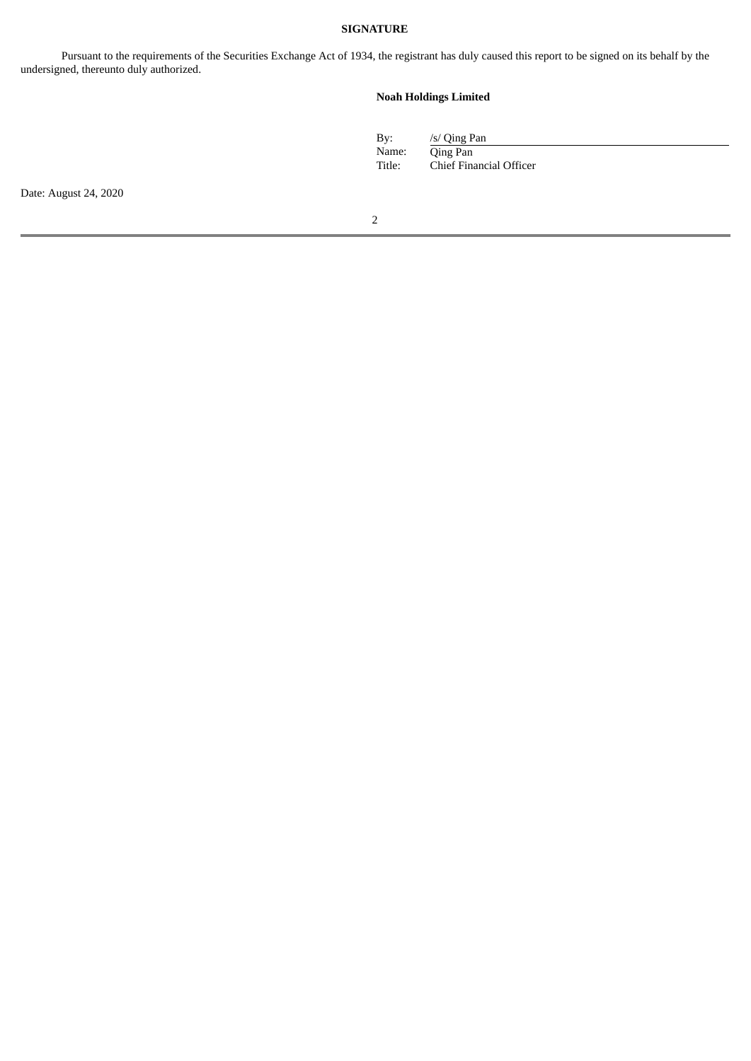## **SIGNATURE**

Pursuant to the requirements of the Securities Exchange Act of 1934, the registrant has duly caused this report to be signed on its behalf by the undersigned, thereunto duly authorized.

# **Noah Holdings Limited**

| By:    | /s/ Qing Pan            |
|--------|-------------------------|
| Name:  | Oing Pan                |
| Title: | Chief Financial Officer |

Date: August 24, 2020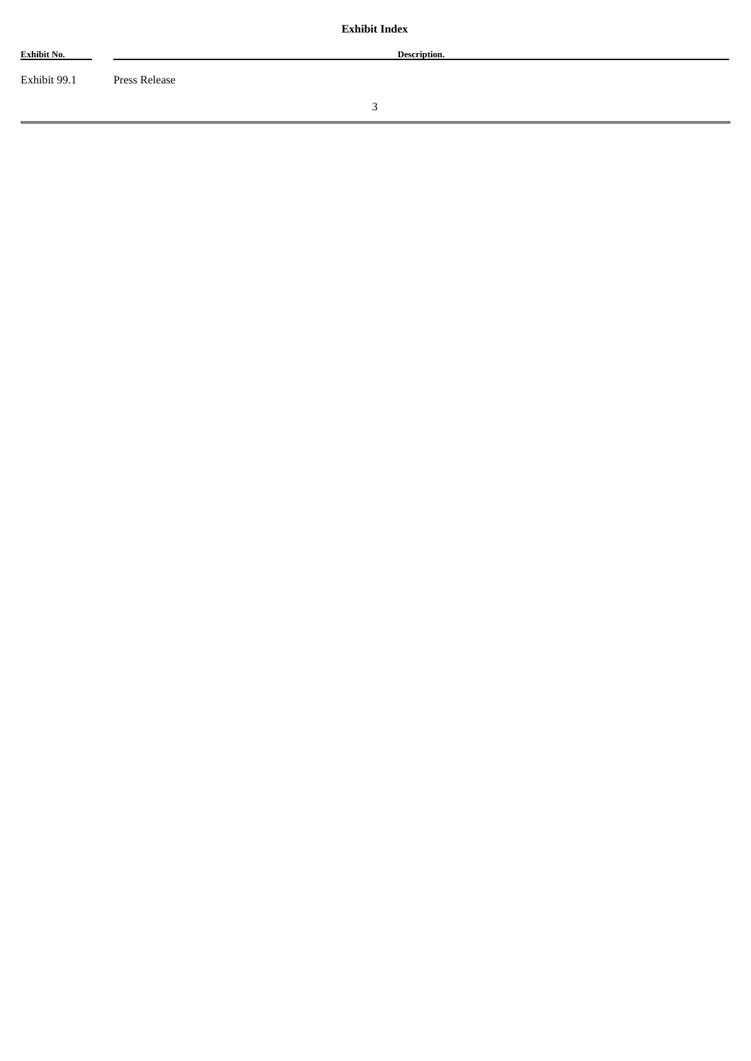| <b>Exhibit Index</b> |               |              |  |
|----------------------|---------------|--------------|--|
| <b>Exhibit No.</b>   |               | Description. |  |
| Exhibit 99.1         | Press Release |              |  |
|                      |               |              |  |
|                      |               |              |  |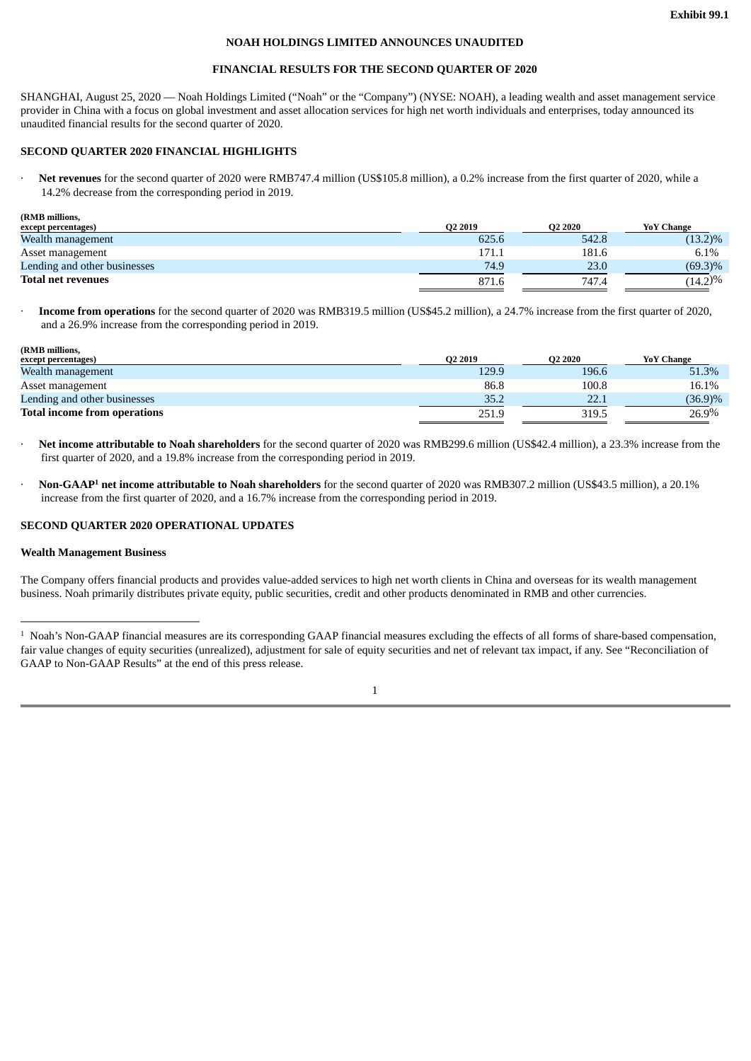## **NOAH HOLDINGS LIMITED ANNOUNCES UNAUDITED**

#### **FINANCIAL RESULTS FOR THE SECOND QUARTER OF 2020**

SHANGHAI, August 25, 2020 — Noah Holdings Limited ("Noah" or the "Company") (NYSE: NOAH), a leading wealth and asset management service provider in China with a focus on global investment and asset allocation services for high net worth individuals and enterprises, today announced its unaudited financial results for the second quarter of 2020.

## **SECOND QUARTER 2020 FINANCIAL HIGHLIGHTS**

· **Net revenues** for the second quarter of 2020 were RMB747.4 million (US\$105.8 million), a 0.2% increase from the first quarter of 2020, while a 14.2% decrease from the corresponding period in 2019.

| (RMB millions,               |                     |                     |                   |
|------------------------------|---------------------|---------------------|-------------------|
| except percentages)          | O <sub>2</sub> 2019 | O <sub>2</sub> 2020 | <b>YoY Change</b> |
| Wealth management            | 625.6               | 542.8               | $(13.2)\%$        |
| Asset management             | 171.1               | 181.6               | 6.1%              |
| Lending and other businesses | 74.9                | 23.0                | $(69.3)\%$        |
| <b>Total net revenues</b>    | 871.6               | 747.4               | $(14.2)\%$        |

· **Income from operations** for the second quarter of 2020 was RMB319.5 million (US\$45.2 million), a 24.7% increase from the first quarter of 2020, and a 26.9% increase from the corresponding period in 2019.

| (RMB millions,                      |                     |                     |                   |
|-------------------------------------|---------------------|---------------------|-------------------|
| except percentages)                 | O <sub>2</sub> 2019 | O <sub>2</sub> 2020 | <b>YoY</b> Change |
| Wealth management                   | 129.9               | 196.6               | 51.3%             |
| Asset management                    | 86.8                | 100.8               | 16.1%             |
| Lending and other businesses        | 35.2                | 22.1                | (36.9)%           |
| <b>Total income from operations</b> | 251.9               | 319.5               | $26.9\%$          |

· **Net income attributable to Noah shareholders** for the second quarter of 2020 was RMB299.6 million (US\$42.4 million), a 23.3% increase from the first quarter of 2020, and a 19.8% increase from the corresponding period in 2019.

· **Non-GAAP net income attributable to Noah shareholders** for the second quarter of 2020 was RMB307.2 million (US\$43.5 million), a 20.1% **1** increase from the first quarter of 2020, and a 16.7% increase from the corresponding period in 2019.

## **SECOND QUARTER 2020 OPERATIONAL UPDATES**

#### **Wealth Management Business**

The Company offers financial products and provides value-added services to high net worth clients in China and overseas for its wealth management business. Noah primarily distributes private equity, public securities, credit and other products denominated in RMB and other currencies.

 $<sup>1</sup>$  Noah's Non-GAAP financial measures are its corresponding GAAP financial measures excluding the effects of all forms of share-based compensation,</sup> fair value changes of equity securities (unrealized), adjustment for sale of equity securities and net of relevant tax impact, if any. See "Reconciliation of GAAP to Non-GAAP Results" at the end of this press release.

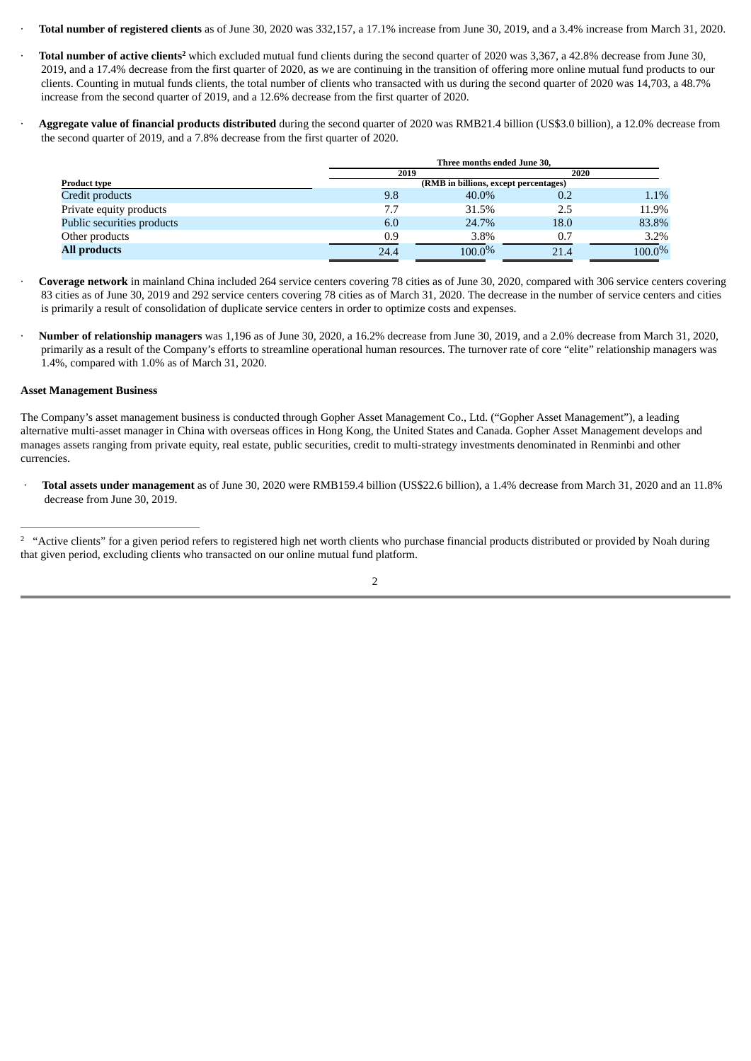· **Total number of registered clients** as of June 30, 2020 was 332,157, a 17.1% increase from June 30, 2019, and a 3.4% increase from March 31, 2020.

- · **Total number of active clients** which excluded mutual fund clients during the second quarter of 2020 was 3,367, a 42.8% decrease from June 30, **2** 2019, and a 17.4% decrease from the first quarter of 2020, as we are continuing in the transition of offering more online mutual fund products to our clients. Counting in mutual funds clients, the total number of clients who transacted with us during the second quarter of 2020 was 14,703, a 48.7% increase from the second quarter of 2019, and a 12.6% decrease from the first quarter of 2020.
- · **Aggregate value of financial products distributed** during the second quarter of 2020 was RMB21.4 billion (US\$3.0 billion), a 12.0% decrease from the second quarter of 2019, and a 7.8% decrease from the first quarter of 2020.

|                            | Three months ended June 30, |                                       |      |         |  |  |
|----------------------------|-----------------------------|---------------------------------------|------|---------|--|--|
|                            |                             | 2019                                  |      | 2020    |  |  |
| <b>Product type</b>        |                             | (RMB in billions, except percentages) |      |         |  |  |
| Credit products            | 9.8                         | 40.0%                                 | 0.2  | 1.1%    |  |  |
| Private equity products    | 7.7                         | 31.5%                                 | 2.5  | 11.9%   |  |  |
| Public securities products | 6.0                         | 24.7%                                 | 18.0 | 83.8%   |  |  |
| Other products             | 0.9                         | 3.8%                                  | 0.7  | $3.2\%$ |  |  |
| <b>All products</b>        | 24.4                        | $100.0\%$                             | 21.4 | 100.0%  |  |  |

- · **Coverage network** in mainland China included 264 service centers covering 78 cities as of June 30, 2020, compared with 306 service centers covering 83 cities as of June 30, 2019 and 292 service centers covering 78 cities as of March 31, 2020. The decrease in the number of service centers and cities is primarily a result of consolidation of duplicate service centers in order to optimize costs and expenses.
- · **Number of relationship managers** was 1,196 as of June 30, 2020, a 16.2% decrease from June 30, 2019, and a 2.0% decrease from March 31, 2020, primarily as a result of the Company's efforts to streamline operational human resources. The turnover rate of core "elite" relationship managers was 1.4%, compared with 1.0% as of March 31, 2020.

## **Asset Management Business**

The Company's asset management business is conducted through Gopher Asset Management Co., Ltd. ("Gopher Asset Management"), a leading alternative multi-asset manager in China with overseas offices in Hong Kong, the United States and Canada. Gopher Asset Management develops and manages assets ranging from private equity, real estate, public securities, credit to multi-strategy investments denominated in Renminbi and other currencies.

· **Total assets under management** as of June 30, 2020 were RMB159.4 billion (US\$22.6 billion), a 1.4% decrease from March 31, 2020 and an 11.8% decrease from June 30, 2019.

 $2$  "Active clients" for a given period refers to registered high net worth clients who purchase financial products distributed or provided by Noah during that given period, excluding clients who transacted on our online mutual fund platform.

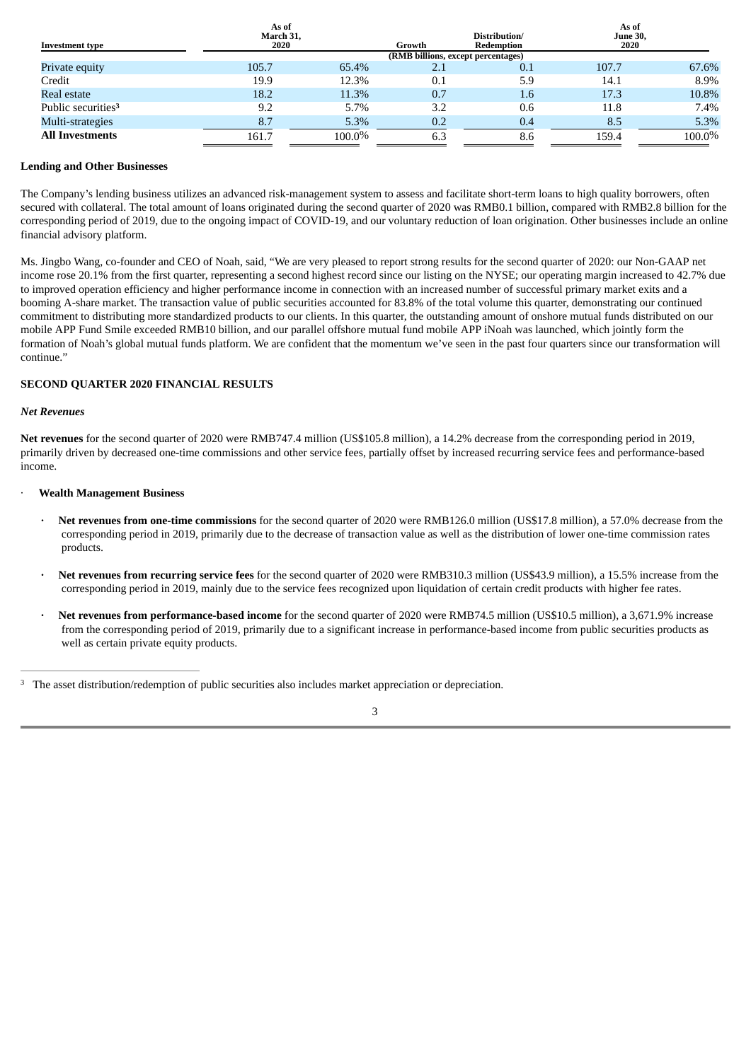| Investment type                | As of<br>March 31,<br>2020 |           | Growth<br>(RMB billions, except percentages) | Distribution/<br>Redemption |       | As of<br><b>June 30,</b><br>2020 |
|--------------------------------|----------------------------|-----------|----------------------------------------------|-----------------------------|-------|----------------------------------|
| <b>Private equity</b>          | 105.7                      | 65.4%     | 2.1                                          | 0.1                         | 107.7 | 67.6%                            |
| Credit                         | 19.9                       | 12.3%     | 0.1                                          | 5.9                         | 14.1  | 8.9%                             |
| Real estate                    | 18.2                       | 11.3%     | 0.7                                          | 1.6                         | 17.3  | 10.8%                            |
| Public securities <sup>3</sup> | 9.2                        | 5.7%      | 3.2                                          | 0.6                         | 11.8  | 7.4%                             |
| Multi-strategies               | 8.7                        | 5.3%      | 0.2                                          | 0.4                         | 8.5   | 5.3%                             |
| <b>All Investments</b>         | 161.7                      | $100.0\%$ | 6.3                                          | 8.6                         | 159.4 | $100.0\%$                        |

## **Lending and Other Businesses**

The Company's lending business utilizes an advanced risk-management system to assess and facilitate short-term loans to high quality borrowers, often secured with collateral. The total amount of loans originated during the second quarter of 2020 was RMB0.1 billion, compared with RMB2.8 billion for the corresponding period of 2019, due to the ongoing impact of COVID-19, and our voluntary reduction of loan origination. Other businesses include an online financial advisory platform.

Ms. Jingbo Wang, co-founder and CEO of Noah, said, "We are very pleased to report strong results for the second quarter of 2020: our Non-GAAP net income rose 20.1% from the first quarter, representing a second highest record since our listing on the NYSE; our operating margin increased to 42.7% due to improved operation efficiency and higher performance income in connection with an increased number of successful primary market exits and a booming A-share market. The transaction value of public securities accounted for 83.8% of the total volume this quarter, demonstrating our continued commitment to distributing more standardized products to our clients. In this quarter, the outstanding amount of onshore mutual funds distributed on our mobile APP Fund Smile exceeded RMB10 billion, and our parallel offshore mutual fund mobile APP iNoah was launched, which jointly form the formation of Noah's global mutual funds platform. We are confident that the momentum we've seen in the past four quarters since our transformation will continue."

## **SECOND QUARTER 2020 FINANCIAL RESULTS**

#### *Net Revenues*

**Net revenues** for the second quarter of 2020 were RMB747.4 million (US\$105.8 million), a 14.2% decrease from the corresponding period in 2019, primarily driven by decreased one-time commissions and other service fees, partially offset by increased recurring service fees and performance-based income.

## · **Wealth Management Business**

- **· Net revenues from one-time commissions** for the second quarter of 2020 were RMB126.0 million (US\$17.8 million), a 57.0% decrease from the corresponding period in 2019, primarily due to the decrease of transaction value as well as the distribution of lower one-time commission rates products.
- **· Net revenues from recurring service fees** for the second quarter of 2020 were RMB310.3 million (US\$43.9 million), a 15.5% increase from the corresponding period in 2019, mainly due to the service fees recognized upon liquidation of certain credit products with higher fee rates.
- **· Net revenues from performance-based income** for the second quarter of 2020 were RMB74.5 million (US\$10.5 million), a 3,671.9% increase from the corresponding period of 2019, primarily due to a significant increase in performance-based income from public securities products as well as certain private equity products.

<sup>&</sup>lt;sup>3</sup> The asset distribution/redemption of public securities also includes market appreciation or depreciation.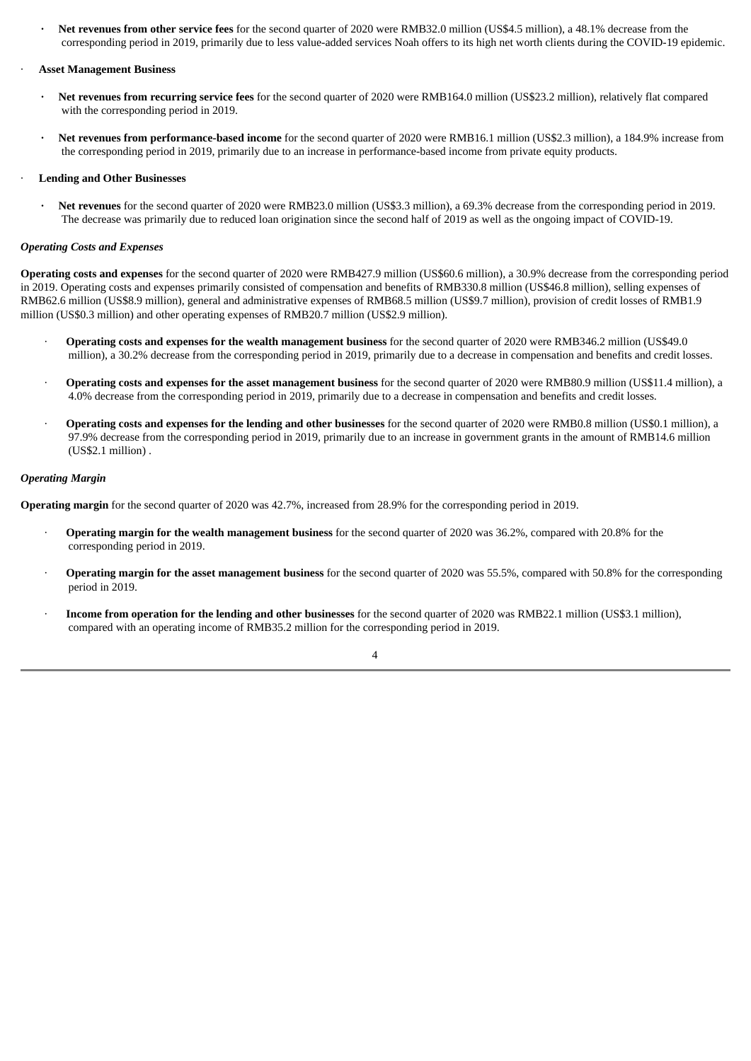**· Net revenues from other service fees** for the second quarter of 2020 were RMB32.0 million (US\$4.5 million), a 48.1% decrease from the corresponding period in 2019, primarily due to less value-added services Noah offers to its high net worth clients during the COVID-19 epidemic.

#### · **Asset Management Business**

- **· Net revenues from recurring service fees** for the second quarter of 2020 were RMB164.0 million (US\$23.2 million), relatively flat compared with the corresponding period in 2019.
- **· Net revenues from performance-based income** for the second quarter of 2020 were RMB16.1 million (US\$2.3 million), a 184.9% increase from the corresponding period in 2019, primarily due to an increase in performance-based income from private equity products.

#### · **Lending and Other Businesses**

**· Net revenues** for the second quarter of 2020 were RMB23.0 million (US\$3.3 million), a 69.3% decrease from the corresponding period in 2019. The decrease was primarily due to reduced loan origination since the second half of 2019 as well as the ongoing impact of COVID-19.

#### *Operating Costs and Expenses*

**Operating costs and expenses** for the second quarter of 2020 were RMB427.9 million (US\$60.6 million), a 30.9% decrease from the corresponding period in 2019. Operating costs and expenses primarily consisted of compensation and benefits of RMB330.8 million (US\$46.8 million), selling expenses of RMB62.6 million (US\$8.9 million), general and administrative expenses of RMB68.5 million (US\$9.7 million), provision of credit losses of RMB1.9 million (US\$0.3 million) and other operating expenses of RMB20.7 million (US\$2.9 million).

- · **Operating costs and expenses for the wealth management business** for the second quarter of 2020 were RMB346.2 million (US\$49.0 million), a 30.2% decrease from the corresponding period in 2019, primarily due to a decrease in compensation and benefits and credit losses.
- · **Operating costs and expenses for the asset management business** for the second quarter of 2020 were RMB80.9 million (US\$11.4 million), a 4.0% decrease from the corresponding period in 2019, primarily due to a decrease in compensation and benefits and credit losses.
- · **Operating costs and expenses for the lending and other businesses** for the second quarter of 2020 were RMB0.8 million (US\$0.1 million), a 97.9% decrease from the corresponding period in 2019, primarily due to an increase in government grants in the amount of RMB14.6 million (US\$2.1 million) .

## *Operating Margin*

**Operating margin** for the second quarter of 2020 was 42.7%, increased from 28.9% for the corresponding period in 2019.

- · **Operating margin for the wealth management business** for the second quarter of 2020 was 36.2%, compared with 20.8% for the corresponding period in 2019.
- · **Operating margin for the asset management business** for the second quarter of 2020 was 55.5%, compared with 50.8% for the corresponding period in 2019.
- · **Income from operation for the lending and other businesses** for the second quarter of 2020 was RMB22.1 million (US\$3.1 million), compared with an operating income of RMB35.2 million for the corresponding period in 2019.

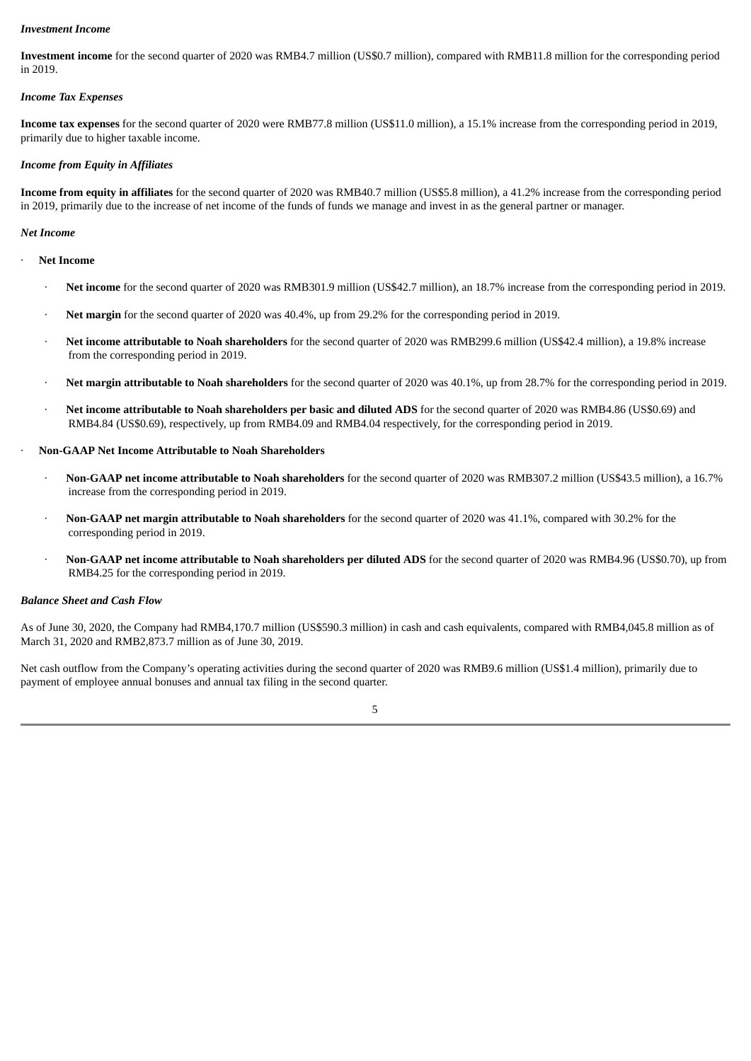## *Investment Income*

**Investment income** for the second quarter of 2020 was RMB4.7 million (US\$0.7 million), compared with RMB11.8 million for the corresponding period in 2019.

## *Income Tax Expenses*

**Income tax expenses** for the second quarter of 2020 were RMB77.8 million (US\$11.0 million), a 15.1% increase from the corresponding period in 2019, primarily due to higher taxable income.

## *Income from Equity in Affiliates*

**Income from equity in affiliates** for the second quarter of 2020 was RMB40.7 million (US\$5.8 million), a 41.2% increase from the corresponding period in 2019, primarily due to the increase of net income of the funds of funds we manage and invest in as the general partner or manager.

#### *Net Income*

· **Net Income**

- · **Net income** for the second quarter of 2020 was RMB301.9 million (US\$42.7 million), an 18.7% increase from the corresponding period in 2019.
- · **Net margin** for the second quarter of 2020 was 40.4%, up from 29.2% for the corresponding period in 2019.
- · **Net income attributable to Noah shareholders** for the second quarter of 2020 was RMB299.6 million (US\$42.4 million), a 19.8% increase from the corresponding period in 2019.
- · **Net margin attributable to Noah shareholders** for the second quarter of 2020 was 40.1%, up from 28.7% for the corresponding period in 2019.
- · **Net income attributable to Noah shareholders per basic and diluted ADS** for the second quarter of 2020 was RMB4.86 (US\$0.69) and RMB4.84 (US\$0.69), respectively, up from RMB4.09 and RMB4.04 respectively, for the corresponding period in 2019.
- · **Non-GAAP Net Income Attributable to Noah Shareholders**
	- · **Non-GAAP net income attributable to Noah shareholders** for the second quarter of 2020 was RMB307.2 million (US\$43.5 million), a 16.7% increase from the corresponding period in 2019.
	- · **Non-GAAP net margin attributable to Noah shareholders** for the second quarter of 2020 was 41.1%, compared with 30.2% for the corresponding period in 2019.
	- · **Non-GAAP net income attributable to Noah shareholders per diluted ADS** for the second quarter of 2020 was RMB4.96 (US\$0.70), up from RMB4.25 for the corresponding period in 2019.

## *Balance Sheet and Cash Flow*

As of June 30, 2020, the Company had RMB4,170.7 million (US\$590.3 million) in cash and cash equivalents, compared with RMB4,045.8 million as of March 31, 2020 and RMB2,873.7 million as of June 30, 2019.

Net cash outflow from the Company's operating activities during the second quarter of 2020 was RMB9.6 million (US\$1.4 million), primarily due to payment of employee annual bonuses and annual tax filing in the second quarter.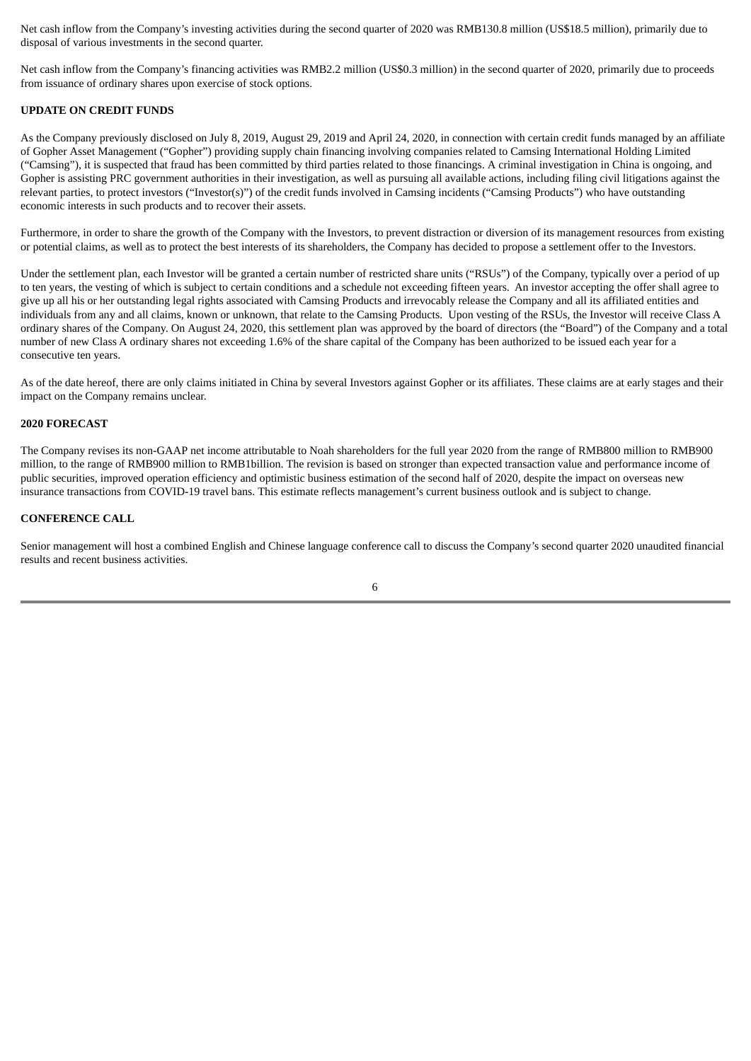Net cash inflow from the Company's investing activities during the second quarter of 2020 was RMB130.8 million (US\$18.5 million), primarily due to disposal of various investments in the second quarter.

Net cash inflow from the Company's financing activities was RMB2.2 million (US\$0.3 million) in the second quarter of 2020, primarily due to proceeds from issuance of ordinary shares upon exercise of stock options.

## **UPDATE ON CREDIT FUNDS**

As the Company previously disclosed on July 8, 2019, August 29, 2019 and April 24, 2020, in connection with certain credit funds managed by an affiliate of Gopher Asset Management ("Gopher") providing supply chain financing involving companies related to Camsing International Holding Limited ("Camsing"), it is suspected that fraud has been committed by third parties related to those financings. A criminal investigation in China is ongoing, and Gopher is assisting PRC government authorities in their investigation, as well as pursuing all available actions, including filing civil litigations against the relevant parties, to protect investors ("Investor(s)") of the credit funds involved in Camsing incidents ("Camsing Products") who have outstanding economic interests in such products and to recover their assets.

Furthermore, in order to share the growth of the Company with the Investors, to prevent distraction or diversion of its management resources from existing or potential claims, as well as to protect the best interests of its shareholders, the Company has decided to propose a settlement offer to the Investors.

Under the settlement plan, each Investor will be granted a certain number of restricted share units ("RSUs") of the Company, typically over a period of up to ten years, the vesting of which is subject to certain conditions and a schedule not exceeding fifteen years. An investor accepting the offer shall agree to give up all his or her outstanding legal rights associated with Camsing Products and irrevocably release the Company and all its affiliated entities and individuals from any and all claims, known or unknown, that relate to the Camsing Products. Upon vesting of the RSUs, the Investor will receive Class A ordinary shares of the Company. On August 24, 2020, this settlement plan was approved by the board of directors (the "Board") of the Company and a total number of new Class A ordinary shares not exceeding 1.6% of the share capital of the Company has been authorized to be issued each year for a consecutive ten years.

As of the date hereof, there are only claims initiated in China by several Investors against Gopher or its affiliates. These claims are at early stages and their impact on the Company remains unclear.

## **2020 FORECAST**

The Company revises its non-GAAP net income attributable to Noah shareholders for the full year 2020 from the range of RMB800 million to RMB900 million, to the range of RMB900 million to RMB1billion. The revision is based on stronger than expected transaction value and performance income of public securities, improved operation efficiency and optimistic business estimation of the second half of 2020, despite the impact on overseas new insurance transactions from COVID-19 travel bans. This estimate reflects management's current business outlook and is subject to change.

## **CONFERENCE CALL**

Senior management will host a combined English and Chinese language conference call to discuss the Company's second quarter 2020 unaudited financial results and recent business activities.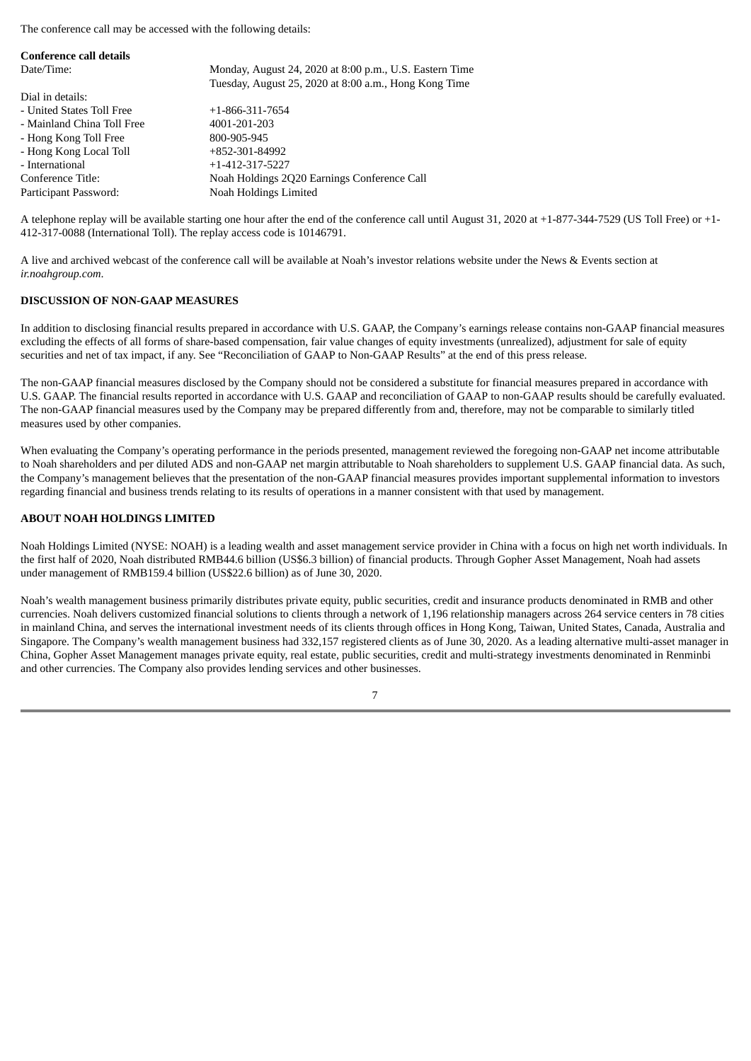The conference call may be accessed with the following details:

| <b>Conference call details</b> |                                                         |
|--------------------------------|---------------------------------------------------------|
| Date/Time:                     | Monday, August 24, 2020 at 8:00 p.m., U.S. Eastern Time |
|                                | Tuesday, August 25, 2020 at 8:00 a.m., Hong Kong Time   |
| Dial in details:               |                                                         |
| - United States Toll Free      | $+1 - 866 - 311 - 7654$                                 |
| - Mainland China Toll Free     | 4001-201-203                                            |
| - Hong Kong Toll Free          | 800-905-945                                             |
| - Hong Kong Local Toll         | $+852-301-84992$                                        |
| - International                | $+1 - 412 - 317 - 5227$                                 |
| Conference Title:              | Noah Holdings 2Q20 Earnings Conference Call             |
| Participant Password:          | Noah Holdings Limited                                   |
|                                |                                                         |

A telephone replay will be available starting one hour after the end of the conference call until August 31, 2020 at +1-877-344-7529 (US Toll Free) or +1- 412-317-0088 (International Toll). The replay access code is 10146791.

A live and archived webcast of the conference call will be available at Noah's investor relations website under the News & Events section at *ir.noahgroup.com*.

## **DISCUSSION OF NON-GAAP MEASURES**

In addition to disclosing financial results prepared in accordance with U.S. GAAP, the Company's earnings release contains non-GAAP financial measures excluding the effects of all forms of share-based compensation, fair value changes of equity investments (unrealized), adjustment for sale of equity securities and net of tax impact, if any. See "Reconciliation of GAAP to Non-GAAP Results" at the end of this press release.

The non-GAAP financial measures disclosed by the Company should not be considered a substitute for financial measures prepared in accordance with U.S. GAAP. The financial results reported in accordance with U.S. GAAP and reconciliation of GAAP to non-GAAP results should be carefully evaluated. The non-GAAP financial measures used by the Company may be prepared differently from and, therefore, may not be comparable to similarly titled measures used by other companies.

When evaluating the Company's operating performance in the periods presented, management reviewed the foregoing non-GAAP net income attributable to Noah shareholders and per diluted ADS and non-GAAP net margin attributable to Noah shareholders to supplement U.S. GAAP financial data. As such, the Company's management believes that the presentation of the non-GAAP financial measures provides important supplemental information to investors regarding financial and business trends relating to its results of operations in a manner consistent with that used by management.

## **ABOUT NOAH HOLDINGS LIMITED**

Noah Holdings Limited (NYSE: NOAH) is a leading wealth and asset management service provider in China with a focus on high net worth individuals. In the first half of 2020, Noah distributed RMB44.6 billion (US\$6.3 billion) of financial products. Through Gopher Asset Management, Noah had assets under management of RMB159.4 billion (US\$22.6 billion) as of June 30, 2020.

Noah's wealth management business primarily distributes private equity, public securities, credit and insurance products denominated in RMB and other currencies. Noah delivers customized financial solutions to clients through a network of 1,196 relationship managers across 264 service centers in 78 cities in mainland China, and serves the international investment needs of its clients through offices in Hong Kong, Taiwan, United States, Canada, Australia and Singapore. The Company's wealth management business had 332,157 registered clients as of June 30, 2020. As a leading alternative multi-asset manager in China, Gopher Asset Management manages private equity, real estate, public securities, credit and multi-strategy investments denominated in Renminbi and other currencies. The Company also provides lending services and other businesses.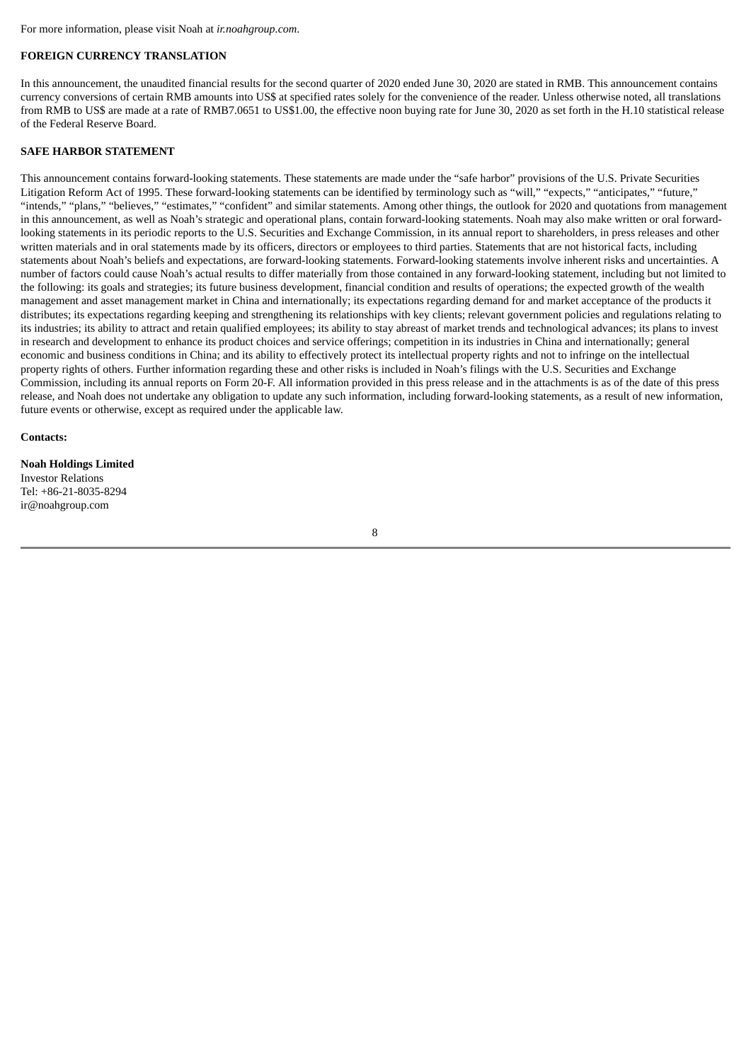For more information, please visit Noah at *ir.noahgroup.com*.

## **FOREIGN CURRENCY TRANSLATION**

In this announcement, the unaudited financial results for the second quarter of 2020 ended June 30, 2020 are stated in RMB. This announcement contains currency conversions of certain RMB amounts into US\$ at specified rates solely for the convenience of the reader. Unless otherwise noted, all translations from RMB to US\$ are made at a rate of RMB7.0651 to US\$1.00, the effective noon buying rate for June 30, 2020 as set forth in the H.10 statistical release of the Federal Reserve Board.

#### **SAFE HARBOR STATEMENT**

This announcement contains forward-looking statements. These statements are made under the "safe harbor" provisions of the U.S. Private Securities Litigation Reform Act of 1995. These forward-looking statements can be identified by terminology such as "will," "expects," "anticipates," "future," "intends," "plans," "believes," "estimates," "confident" and similar statements. Among other things, the outlook for 2020 and quotations from management in this announcement, as well as Noah's strategic and operational plans, contain forward-looking statements. Noah may also make written or oral forwardlooking statements in its periodic reports to the U.S. Securities and Exchange Commission, in its annual report to shareholders, in press releases and other written materials and in oral statements made by its officers, directors or employees to third parties. Statements that are not historical facts, including statements about Noah's beliefs and expectations, are forward-looking statements. Forward-looking statements involve inherent risks and uncertainties. A number of factors could cause Noah's actual results to differ materially from those contained in any forward-looking statement, including but not limited to the following: its goals and strategies; its future business development, financial condition and results of operations; the expected growth of the wealth management and asset management market in China and internationally; its expectations regarding demand for and market acceptance of the products it distributes; its expectations regarding keeping and strengthening its relationships with key clients; relevant government policies and regulations relating to its industries; its ability to attract and retain qualified employees; its ability to stay abreast of market trends and technological advances; its plans to invest in research and development to enhance its product choices and service offerings; competition in its industries in China and internationally; general economic and business conditions in China; and its ability to effectively protect its intellectual property rights and not to infringe on the intellectual property rights of others. Further information regarding these and other risks is included in Noah's filings with the U.S. Securities and Exchange Commission, including its annual reports on Form 20-F. All information provided in this press release and in the attachments is as of the date of this press release, and Noah does not undertake any obligation to update any such information, including forward-looking statements, as a result of new information, future events or otherwise, except as required under the applicable law.

#### **Contacts:**

**Noah Holdings Limited** Investor Relations Tel: +86-21-8035-8294 ir@noahgroup.com

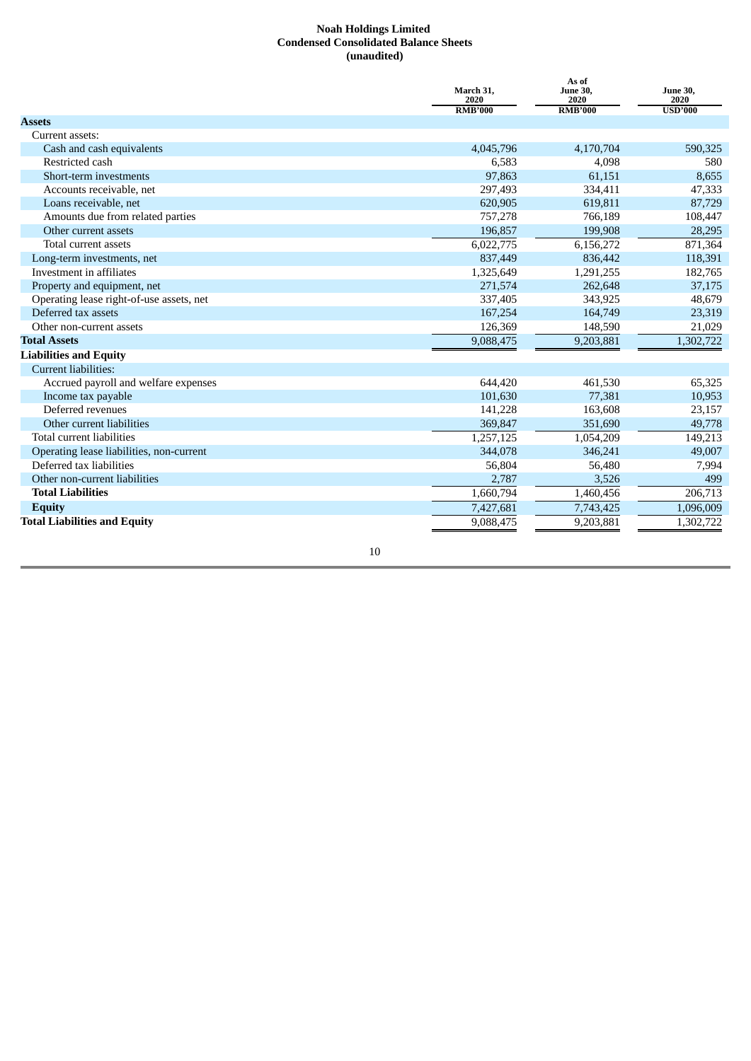## **Noah Holdings Limited Condensed Consolidated Balance Sheets (unaudited)**

|                                          | March 31,<br>2020 | As of<br><b>June 30,</b><br>2020 | <b>June 30,</b><br>2020 |
|------------------------------------------|-------------------|----------------------------------|-------------------------|
|                                          | <b>RMB'000</b>    | <b>RMB'000</b>                   | <b>USD'000</b>          |
| <b>Assets</b>                            |                   |                                  |                         |
| Current assets:                          |                   |                                  |                         |
| Cash and cash equivalents                | 4,045,796         | 4,170,704                        | 590.325                 |
| Restricted cash                          | 6,583             | 4,098                            | 580                     |
| Short-term investments                   | 97,863            | 61,151                           | 8,655                   |
| Accounts receivable, net                 | 297,493           | 334,411                          | 47,333                  |
| Loans receivable, net                    | 620,905           | 619,811                          | 87,729                  |
| Amounts due from related parties         | 757,278           | 766,189                          | 108,447                 |
| Other current assets                     | 196,857           | 199,908                          | 28,295                  |
| Total current assets                     | 6,022,775         | 6,156,272                        | 871,364                 |
| Long-term investments, net               | 837,449           | 836,442                          | 118,391                 |
| Investment in affiliates                 | 1,325,649         | 1,291,255                        | 182,765                 |
| Property and equipment, net              | 271,574           | 262,648                          | 37,175                  |
| Operating lease right-of-use assets, net | 337,405           | 343,925                          | 48,679                  |
| Deferred tax assets                      | 167,254           | 164,749                          | 23,319                  |
| Other non-current assets                 | 126,369           | 148,590                          | 21,029                  |
| <b>Total Assets</b>                      | 9,088,475         | 9,203,881                        | 1,302,722               |
| <b>Liabilities and Equity</b>            |                   |                                  |                         |
| Current liabilities:                     |                   |                                  |                         |
| Accrued payroll and welfare expenses     | 644,420           | 461,530                          | 65,325                  |
| Income tax payable                       | 101,630           | 77,381                           | 10,953                  |
| Deferred revenues                        | 141,228           | 163,608                          | 23,157                  |
| Other current liabilities                | 369,847           | 351,690                          | 49,778                  |
| Total current liabilities                | 1,257,125         | 1,054,209                        | 149,213                 |
| Operating lease liabilities, non-current | 344,078           | 346,241                          | 49,007                  |
| Deferred tax liabilities                 | 56,804            | 56,480                           | 7,994                   |
| Other non-current liabilities            | 2,787             | 3,526                            | 499                     |
| <b>Total Liabilities</b>                 | 1,660,794         | 1,460,456                        | 206,713                 |
| <b>Equity</b>                            | 7,427,681         | 7,743,425                        | 1,096,009               |
| <b>Total Liabilities and Equity</b>      | 9.088.475         | 9.203.881                        | 1.302.722               |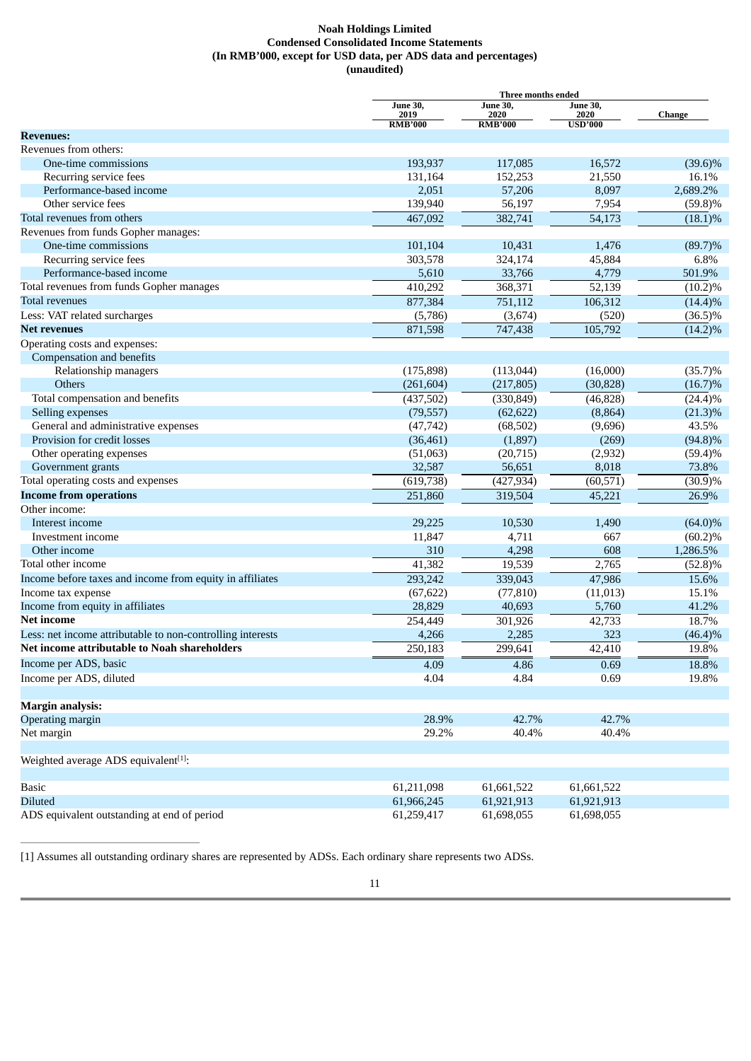## **Noah Holdings Limited Condensed Consolidated Income Statements (In RMB'000, except for USD data, per ADS data and percentages) (unaudited)**

|                                                            |                         | <b>Three months ended</b> |                  |               |
|------------------------------------------------------------|-------------------------|---------------------------|------------------|---------------|
|                                                            | <b>June 30,</b><br>2019 | <b>June 30,</b><br>2020   | June 30,<br>2020 | <b>Change</b> |
|                                                            | <b>RMB'000</b>          | <b>RMB'000</b>            | <b>USD'000</b>   |               |
| <b>Revenues:</b>                                           |                         |                           |                  |               |
| Revenues from others:                                      |                         |                           |                  |               |
| One-time commissions                                       | 193,937                 | 117,085                   | 16,572           | $(39.6)\%$    |
| Recurring service fees                                     | 131,164                 | 152,253                   | 21,550           | 16.1%         |
| Performance-based income                                   | 2,051                   | 57,206                    | 8,097            | 2,689.2%      |
| Other service fees                                         | 139,940                 | 56,197                    | 7,954            | $(59.8)\%$    |
| Total revenues from others                                 | 467,092                 | 382,741                   | 54,173           | $(18.1)\%$    |
| Revenues from funds Gopher manages:                        |                         |                           |                  |               |
| One-time commissions                                       | 101,104                 | 10,431                    | 1,476            | $(89.7)\%$    |
| Recurring service fees                                     | 303,578                 | 324,174                   | 45,884           | 6.8%          |
| Performance-based income                                   | 5,610                   | 33,766                    | 4,779            | 501.9%        |
| Total revenues from funds Gopher manages                   | 410,292                 | 368,371                   | 52,139           | (10.2)%       |
| Total revenues                                             | 877,384                 | 751,112                   | 106,312          | $(14.4)\%$    |
| Less: VAT related surcharges                               | (5,786)                 | (3,674)                   | (520)            | $(36.5)\%$    |
| <b>Net revenues</b>                                        | 871,598                 | 747,438                   | 105,792          | $(14.2)\%$    |
| Operating costs and expenses:                              |                         |                           |                  |               |
| Compensation and benefits                                  |                         |                           |                  |               |
| Relationship managers                                      | (175, 898)              | (113, 044)                | (16,000)         | $(35.7)\%$    |
| <b>Others</b>                                              | (261, 604)              | (217, 805)                | (30, 828)        | $(16.7)\%$    |
| Total compensation and benefits                            | (437,502)               | (330, 849)                | (46, 828)        | $(24.4)\%$    |
| Selling expenses                                           | (79, 557)               | (62, 622)                 | (8,864)          | $(21.3)\%$    |
| General and administrative expenses                        | (47, 742)               | (68, 502)                 | (9,696)          | 43.5%         |
| Provision for credit losses                                | (36, 461)               | (1,897)                   | (269)            | $(94.8)\%$    |
| Other operating expenses                                   | (51,063)                | (20, 715)                 | (2, 932)         | $(59.4)\%$    |
| Government grants                                          | 32,587                  | 56,651                    | 8,018            | 73.8%         |
| Total operating costs and expenses                         | (619, 738)              | (427, 934)                | (60, 571)        | $(30.9)\%$    |
| <b>Income from operations</b>                              | 251,860                 | 319,504                   | 45,221           | 26.9%         |
| Other income:                                              |                         |                           |                  |               |
| Interest income                                            | 29,225                  | 10,530                    | 1,490            | $(64.0)\%$    |
| Investment income                                          | 11,847                  | 4,711                     | 667              | (60.2)%       |
| Other income                                               | 310                     | 4,298                     | 608              | 1,286.5%      |
| Total other income                                         | 41,382                  | 19,539                    | 2,765            | $(52.8)\%$    |
| Income before taxes and income from equity in affiliates   | 293,242                 | 339,043                   | 47,986           | 15.6%         |
| Income tax expense                                         | (67, 622)               | (77, 810)                 | (11, 013)        | 15.1%         |
| Income from equity in affiliates                           | 28,829                  | 40,693                    | 5,760            | 41.2%         |
| <b>Net income</b>                                          | 254,449                 | 301,926                   | 42,733           | 18.7%         |
| Less: net income attributable to non-controlling interests | 4,266                   | 2,285                     | 323              | $(46.4)\%$    |
| Net income attributable to Noah shareholders               | 250,183                 | 299,641                   | 42,410           | 19.8%         |
| Income per ADS, basic                                      | 4.09                    | 4.86                      | 0.69             | 18.8%         |
| Income per ADS, diluted                                    | 4.04                    | 4.84                      | 0.69             | 19.8%         |
|                                                            |                         |                           |                  |               |
| <b>Margin analysis:</b>                                    |                         |                           |                  |               |
| Operating margin                                           | 28.9%                   | 42.7%                     | 42.7%            |               |
| Net margin                                                 | 29.2%                   | 40.4%                     | 40.4%            |               |
|                                                            |                         |                           |                  |               |
| Weighted average ADS equivalent[1]:                        |                         |                           |                  |               |
| <b>Basic</b>                                               | 61,211,098              | 61,661,522                | 61,661,522       |               |
| <b>Diluted</b>                                             | 61,966,245              | 61,921,913                | 61,921,913       |               |
| ADS equivalent outstanding at end of period                | 61,259,417              | 61,698,055                | 61,698,055       |               |

[1] Assumes all outstanding ordinary shares are represented by ADSs. Each ordinary share represents two ADSs.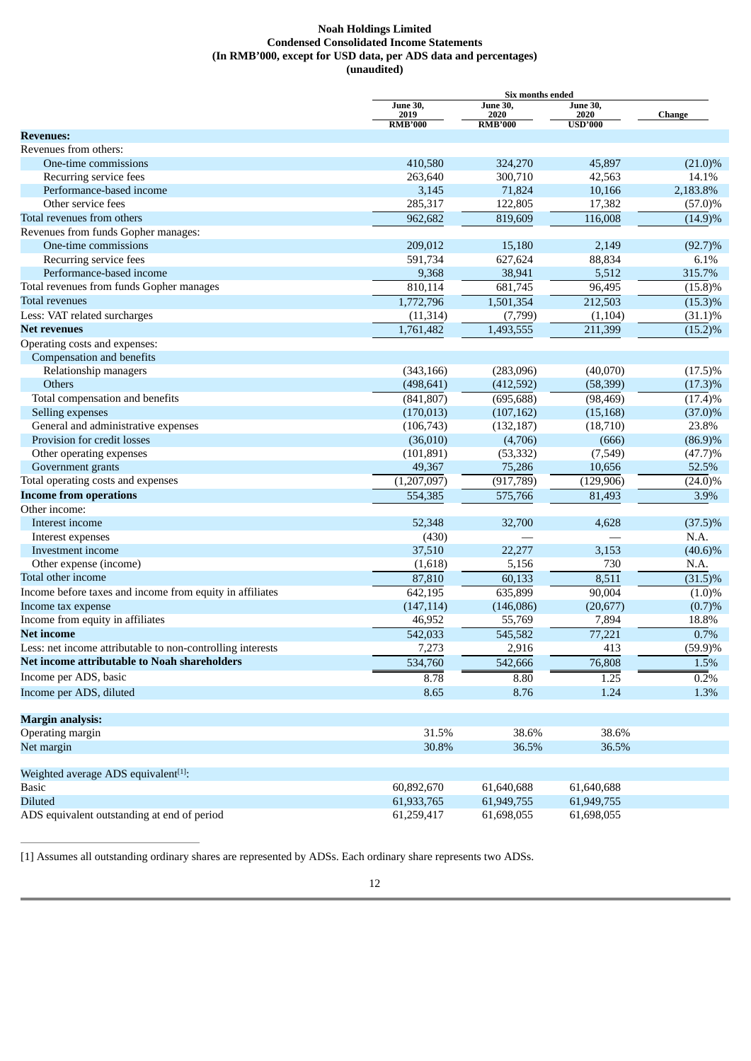## **Noah Holdings Limited Condensed Consolidated Income Statements (In RMB'000, except for USD data, per ADS data and percentages) (unaudited)**

|                                                            |                         | <b>Six months ended</b> |                         |               |
|------------------------------------------------------------|-------------------------|-------------------------|-------------------------|---------------|
|                                                            | <b>June 30,</b><br>2019 | <b>June 30,</b><br>2020 | <b>June 30,</b><br>2020 | <b>Change</b> |
| <b>Revenues:</b>                                           | <b>RMB'000</b>          | <b>RMB'000</b>          | USD'000                 |               |
| Revenues from others:                                      |                         |                         |                         |               |
| One-time commissions                                       | 410,580                 | 324,270                 | 45,897                  | $(21.0)\%$    |
| Recurring service fees                                     | 263,640                 | 300,710                 | 42,563                  | 14.1%         |
| Performance-based income                                   | 3,145                   | 71,824                  | 10,166                  | 2,183.8%      |
| Other service fees                                         | 285,317                 | 122,805                 | 17,382                  | $(57.0)\%$    |
| Total revenues from others                                 | 962,682                 | 819,609                 | 116,008                 | $(14.9)\%$    |
| Revenues from funds Gopher manages:                        |                         |                         |                         |               |
| One-time commissions                                       | 209,012                 | 15,180                  | 2,149                   | $(92.7)\%$    |
| Recurring service fees                                     | 591,734                 | 627,624                 | 88,834                  | 6.1%          |
| Performance-based income                                   | 9,368                   | 38,941                  | 5,512                   | 315.7%        |
| Total revenues from funds Gopher manages                   | 810,114                 | 681,745                 | 96,495                  | (15.8)%       |
| Total revenues                                             | 1,772,796               | 1,501,354               | 212,503                 | $(15.3)\%$    |
| Less: VAT related surcharges                               | (11, 314)               | (7,799)                 | (1,104)                 | $(31.1)\%$    |
| <b>Net revenues</b>                                        | 1,761,482               | 1,493,555               | 211,399                 | $(15.2)\%$    |
| Operating costs and expenses:                              |                         |                         |                         |               |
| Compensation and benefits                                  |                         |                         |                         |               |
| Relationship managers                                      | (343, 166)              | (283,096)               | (40,070)                | $(17.5)\%$    |
| <b>Others</b>                                              | (498, 641)              | (412,592)               | (58, 399)               | $(17.3)\%$    |
| Total compensation and benefits                            | (841, 807)              | (695, 688)              | (98, 469)               | (17.4)%       |
| Selling expenses                                           | (170, 013)              | (107, 162)              | (15, 168)               | $(37.0)\%$    |
| General and administrative expenses                        | (106, 743)              | (132, 187)              | (18, 710)               | 23.8%         |
| Provision for credit losses                                | (36,010)                | (4,706)                 | (666)                   | $(86.9)\%$    |
| Other operating expenses                                   | (101, 891)              | (53, 332)               | (7,549)                 | (47.7)%       |
| Government grants                                          | 49,367                  | 75,286                  | 10,656                  | 52.5%         |
| Total operating costs and expenses                         | (1,207,097)             | (917, 789)              | (129, 906)              | $(24.0)\%$    |
| <b>Income from operations</b>                              | 554,385                 | 575,766                 | 81,493                  | 3.9%          |
| Other income:                                              |                         |                         |                         |               |
| Interest income                                            | 52,348                  | 32,700                  | 4,628                   | $(37.5)\%$    |
| Interest expenses                                          | (430)                   |                         |                         | N.A.          |
| Investment income                                          | 37,510                  | 22,277                  | 3,153                   | $(40.6)\%$    |
| Other expense (income)                                     | (1,618)                 | 5,156                   | 730                     | N.A.          |
| Total other income                                         | 87,810                  | 60,133                  | 8,511                   | $(31.5)\%$    |
| Income before taxes and income from equity in affiliates   | 642,195                 | 635,899                 | 90,004                  | $(1.0)\%$     |
| Income tax expense                                         | (147, 114)              | (146,086)               | (20, 677)               | (0.7)%        |
| Income from equity in affiliates                           | 46,952                  | 55,769                  | 7,894                   | 18.8%         |
| <b>Net income</b>                                          | 542,033                 | 545,582                 | 77,221                  | 0.7%          |
| Less: net income attributable to non-controlling interests | 7,273                   | 2,916                   | 413                     | $(59.9)\%$    |
| Net income attributable to Noah shareholders               | 534,760                 | 542,666                 | 76,808                  | 1.5%          |
| Income per ADS, basic                                      | 8.78                    | 8.80                    | 1.25                    | 0.2%          |
| Income per ADS, diluted                                    | 8.65                    | 8.76                    | 1.24                    | 1.3%          |
|                                                            |                         |                         |                         |               |
| <b>Margin analysis:</b>                                    |                         |                         |                         |               |
| Operating margin                                           | 31.5%                   | 38.6%                   | 38.6%                   |               |
| Net margin                                                 | 30.8%                   | 36.5%                   | 36.5%                   |               |
|                                                            |                         |                         |                         |               |
| Weighted average ADS equivalent <sup>[1]</sup> :           |                         |                         |                         |               |
| <b>Basic</b>                                               | 60,892,670              | 61,640,688              | 61,640,688              |               |
| <b>Diluted</b>                                             | 61,933,765              | 61,949,755              | 61,949,755              |               |
| ADS equivalent outstanding at end of period                | 61,259,417              | 61,698,055              | 61,698,055              |               |

[1] Assumes all outstanding ordinary shares are represented by ADSs. Each ordinary share represents two ADSs.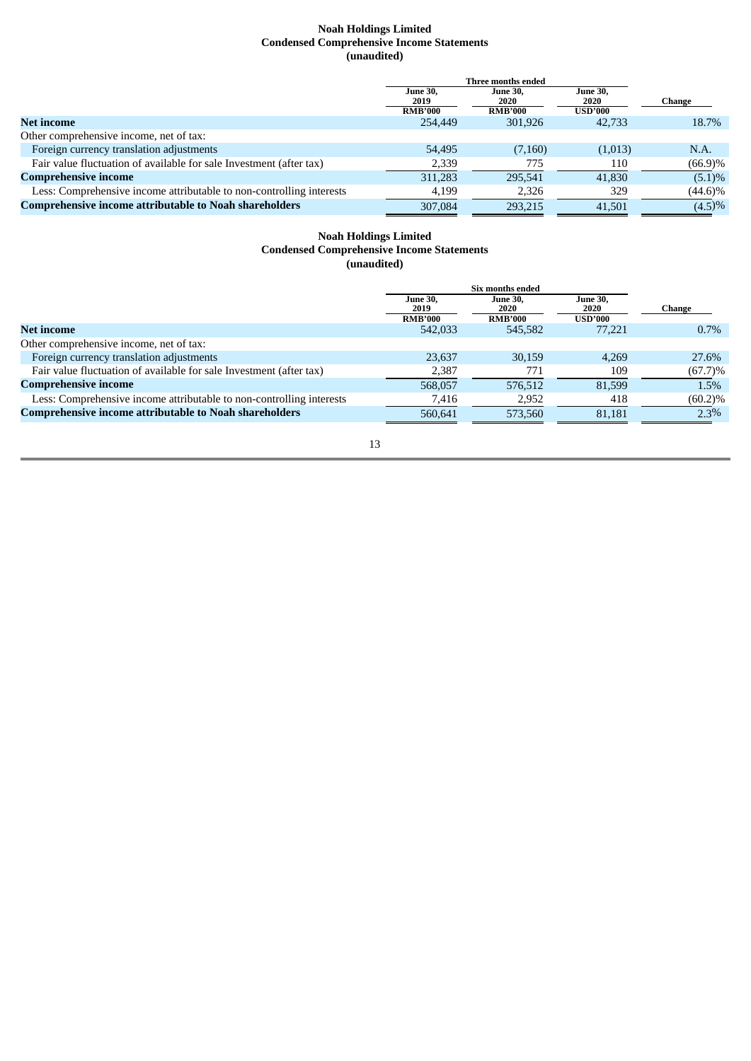## **Noah Holdings Limited Condensed Comprehensive Income Statements (unaudited)**

|                                                                      | Three months ended                        |                                           |                                           |            |
|----------------------------------------------------------------------|-------------------------------------------|-------------------------------------------|-------------------------------------------|------------|
|                                                                      | <b>June 30,</b><br>2019<br><b>RMB'000</b> | <b>June 30,</b><br>2020<br><b>RMB'000</b> | <b>June 30,</b><br>2020<br><b>USD'000</b> | Change     |
| <b>Net income</b>                                                    | 254,449                                   | 301,926                                   | 42.733                                    | 18.7%      |
| Other comprehensive income, net of tax:                              |                                           |                                           |                                           |            |
| Foreign currency translation adjustments                             | 54,495                                    | (7,160)                                   | (1,013)                                   | N.A.       |
| Fair value fluctuation of available for sale Investment (after tax)  | 2,339                                     | 775                                       | 110                                       | $(66.9)\%$ |
| <b>Comprehensive income</b>                                          | 311,283                                   | 295.541                                   | 41,830                                    | (5.1)%     |
| Less: Comprehensive income attributable to non-controlling interests | 4,199                                     | 2,326                                     | 329                                       | $(44.6)\%$ |
| <b>Comprehensive income attributable to Noah shareholders</b>        | 307,084                                   | 293.215                                   | 41.501                                    | (4.5)%     |

## **Noah Holdings Limited Condensed Comprehensive Income Statements (unaudited)**

|                                                                      | Six months ended                          |                                           |                                           |            |
|----------------------------------------------------------------------|-------------------------------------------|-------------------------------------------|-------------------------------------------|------------|
|                                                                      | <b>June 30,</b><br>2019<br><b>RMB'000</b> | <b>June 30,</b><br>2020<br><b>RMB'000</b> | <b>June 30,</b><br>2020<br><b>USD'000</b> | Change     |
| <b>Net income</b>                                                    | 542,033                                   | 545,582                                   | 77.221                                    | $0.7\%$    |
| Other comprehensive income, net of tax:                              |                                           |                                           |                                           |            |
| Foreign currency translation adjustments                             | 23,637                                    | 30,159                                    | 4.269                                     | 27.6%      |
| Fair value fluctuation of available for sale Investment (after tax)  | 2,387                                     | 771                                       | 109                                       | $(67.7)\%$ |
| <b>Comprehensive income</b>                                          | 568,057                                   | 576,512                                   | 81,599                                    | 1.5%       |
| Less: Comprehensive income attributable to non-controlling interests | 7,416                                     | 2,952                                     | 418                                       | $(60.2)\%$ |
| <b>Comprehensive income attributable to Noah shareholders</b>        | 560.641                                   | 573.560                                   | 81.181                                    | $2.3\%$    |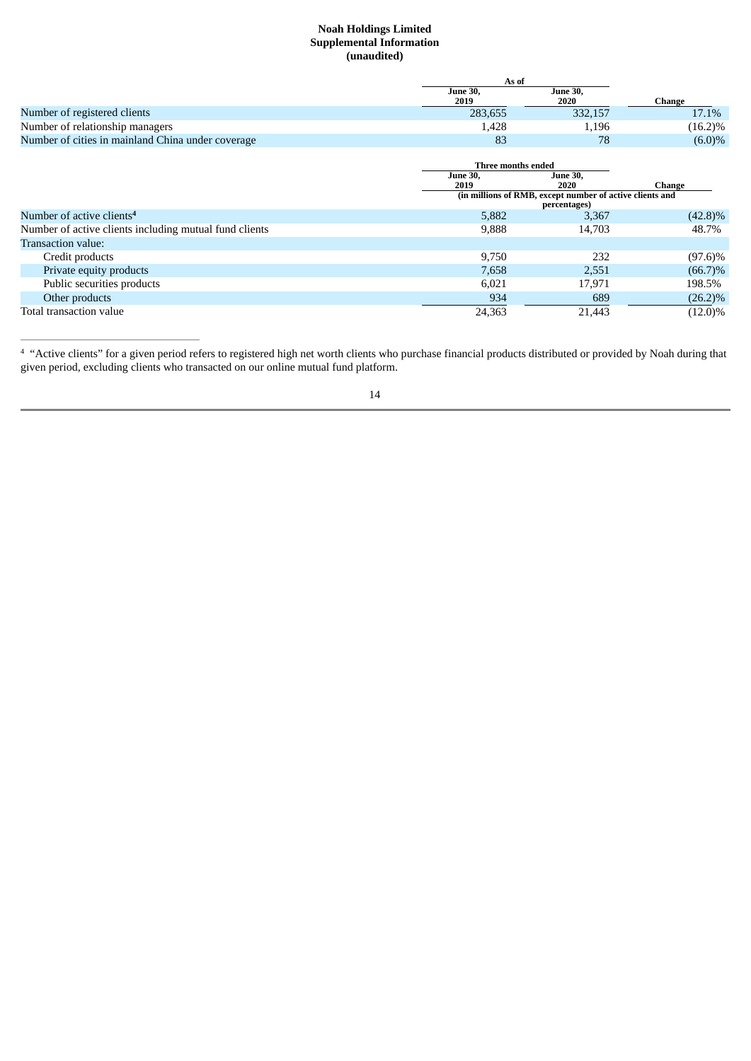## **Noah Holdings Limited Supplemental Information (unaudited)**

|                                                        | As of                                                                    |                         |            |
|--------------------------------------------------------|--------------------------------------------------------------------------|-------------------------|------------|
|                                                        | <b>June 30,</b><br>2019                                                  | <b>June 30,</b><br>2020 | Change     |
| Number of registered clients                           | 283,655                                                                  | 332,157                 | 17.1%      |
| Number of relationship managers                        | 1,428                                                                    | 1,196                   | $(16.2)\%$ |
| Number of cities in mainland China under coverage      | 83                                                                       | 78                      | $(6.0)\%$  |
|                                                        | Three months ended                                                       |                         |            |
|                                                        | <b>June 30,</b><br>2019                                                  | <b>June 30,</b><br>2020 | Change     |
|                                                        | (in millions of RMB, except number of active clients and<br>percentages) |                         |            |
| Number of active clients <sup>4</sup>                  | 5,882                                                                    | 3,367                   | $(42.8)\%$ |
| Number of active clients including mutual fund clients | 9,888                                                                    | 14,703                  | 48.7%      |
| Transaction value:                                     |                                                                          |                         |            |
| Credit products                                        | 9,750                                                                    | 232                     | $(97.6)\%$ |
| Private equity products                                | 7,658                                                                    | 2,551                   | $(66.7)\%$ |
| Public securities products                             | 6,021                                                                    | 17,971                  | 198.5%     |
| Other products                                         | 934                                                                      | 689                     | $(26.2)\%$ |
| Total transaction value                                | 24,363                                                                   | 21,443                  | $(12.0)\%$ |

"Active clients" for a given period refers to registered high net worth clients who purchase financial products distributed or provided by Noah during that given period, excluding clients who transacted on our online mutual fund platform. 4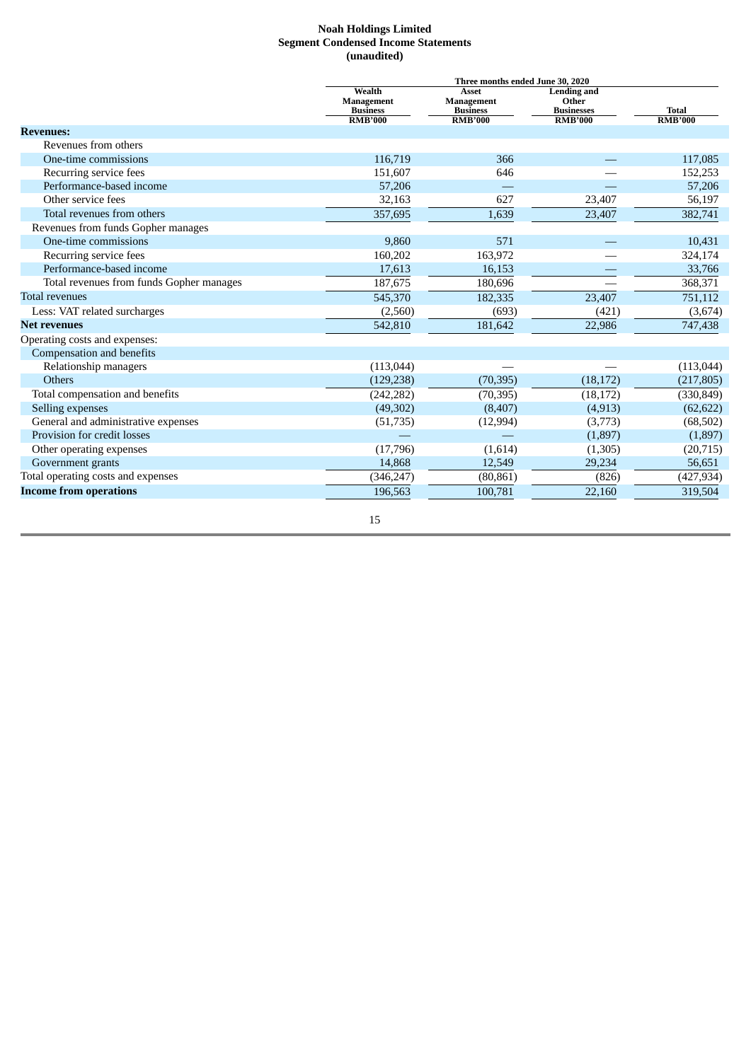## **Noah Holdings Limited Segment Condensed Income Statements (unaudited)**

|                                          | Three months ended June 30, 2020                          |                                                                 |                                                                    |                                |
|------------------------------------------|-----------------------------------------------------------|-----------------------------------------------------------------|--------------------------------------------------------------------|--------------------------------|
|                                          | Wealth<br>Management<br><b>Business</b><br><b>RMB'000</b> | <b>Asset</b><br>Management<br><b>Business</b><br><b>RMB'000</b> | <b>Lending</b> and<br>Other<br><b>Businesses</b><br><b>RMB'000</b> | <b>Total</b><br><b>RMB'000</b> |
| <b>Revenues:</b>                         |                                                           |                                                                 |                                                                    |                                |
| Revenues from others                     |                                                           |                                                                 |                                                                    |                                |
| One-time commissions                     | 116,719                                                   | 366                                                             |                                                                    | 117,085                        |
| Recurring service fees                   | 151,607                                                   | 646                                                             |                                                                    | 152,253                        |
| Performance-based income                 | 57,206                                                    |                                                                 |                                                                    | 57,206                         |
| Other service fees                       | 32,163                                                    | 627                                                             | 23,407                                                             | 56,197                         |
| Total revenues from others               | 357,695                                                   | 1,639                                                           | 23,407                                                             | 382,741                        |
| Revenues from funds Gopher manages       |                                                           |                                                                 |                                                                    |                                |
| One-time commissions                     | 9,860                                                     | 571                                                             |                                                                    | 10,431                         |
| Recurring service fees                   | 160,202                                                   | 163,972                                                         |                                                                    | 324,174                        |
| Performance-based income                 | 17,613                                                    | 16,153                                                          |                                                                    | 33,766                         |
| Total revenues from funds Gopher manages | 187,675                                                   | 180,696                                                         |                                                                    | 368,371                        |
| <b>Total revenues</b>                    | 545,370                                                   | 182,335                                                         | 23,407                                                             | 751,112                        |
| Less: VAT related surcharges             | (2,560)                                                   | (693)                                                           | (421)                                                              | (3,674)                        |
| <b>Net revenues</b>                      | 542,810                                                   | 181,642                                                         | 22,986                                                             | 747,438                        |
| Operating costs and expenses:            |                                                           |                                                                 |                                                                    |                                |
| Compensation and benefits                |                                                           |                                                                 |                                                                    |                                |
| Relationship managers                    | (113, 044)                                                |                                                                 |                                                                    | (113, 044)                     |
| <b>Others</b>                            | (129, 238)                                                | (70, 395)                                                       | (18, 172)                                                          | (217, 805)                     |
| Total compensation and benefits          | (242, 282)                                                | (70, 395)                                                       | (18, 172)                                                          | (330, 849)                     |
| Selling expenses                         | (49,302)                                                  | (8, 407)                                                        | (4, 913)                                                           | (62, 622)                      |
| General and administrative expenses      | (51, 735)                                                 | (12, 994)                                                       | (3,773)                                                            | (68, 502)                      |
| Provision for credit losses              |                                                           |                                                                 | (1,897)                                                            | (1,897)                        |
| Other operating expenses                 | (17,796)                                                  | (1,614)                                                         | (1,305)                                                            | (20, 715)                      |
| Government grants                        | 14,868                                                    | 12,549                                                          | 29,234                                                             | 56,651                         |
| Total operating costs and expenses       | (346,247)                                                 | (80, 861)                                                       | (826)                                                              | (427, 934)                     |
| <b>Income from operations</b>            | 196,563                                                   | 100,781                                                         | 22,160                                                             | 319,504                        |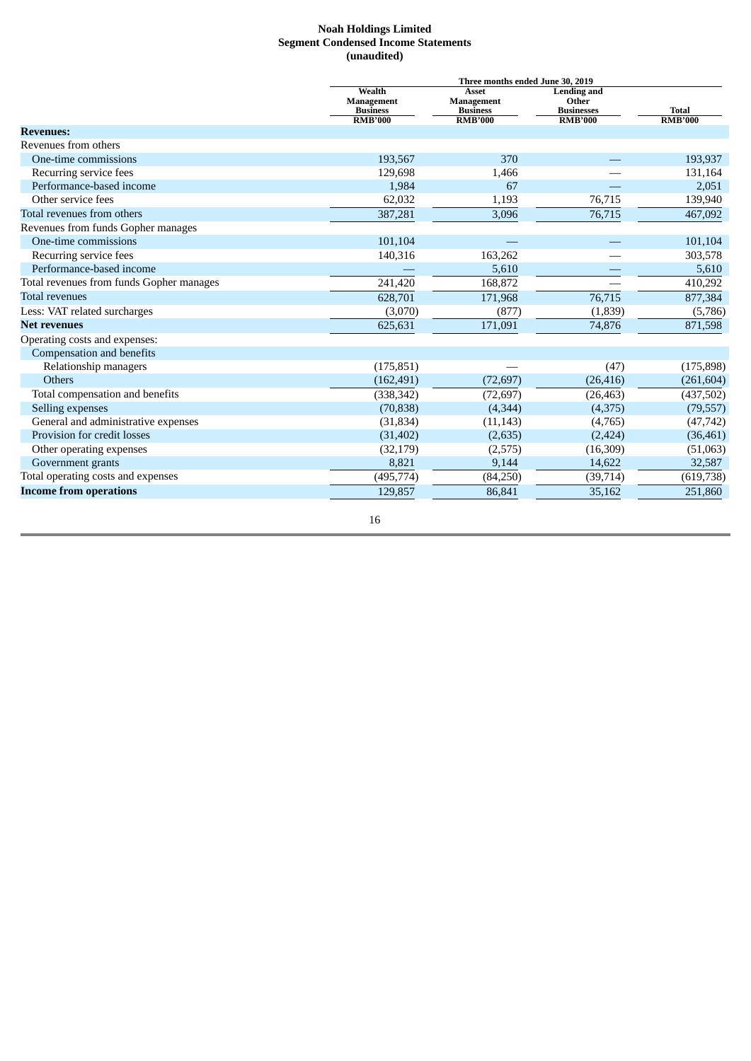## **Noah Holdings Limited Segment Condensed Income Statements (unaudited)**

| Three months ended June 30, 2019                |                                                                 |                                                                    |                                |
|-------------------------------------------------|-----------------------------------------------------------------|--------------------------------------------------------------------|--------------------------------|
| Management<br><b>Business</b><br><b>RMB'000</b> | <b>Asset</b><br>Management<br><b>Business</b><br><b>RMB'000</b> | <b>Lending and</b><br>Other<br><b>Businesses</b><br><b>RMB'000</b> | <b>Total</b><br><b>RMB'000</b> |
|                                                 |                                                                 |                                                                    |                                |
|                                                 |                                                                 |                                                                    |                                |
| 193,567                                         | 370                                                             |                                                                    | 193,937                        |
| 129,698                                         | 1,466                                                           |                                                                    | 131,164                        |
| 1,984                                           | 67                                                              |                                                                    | 2,051                          |
|                                                 | 1,193                                                           |                                                                    | 139,940                        |
| 387,281                                         | 3,096                                                           | 76,715                                                             | 467,092                        |
|                                                 |                                                                 |                                                                    |                                |
| 101,104                                         |                                                                 |                                                                    | 101,104                        |
| 140,316                                         | 163,262                                                         |                                                                    | 303,578                        |
|                                                 | 5,610                                                           |                                                                    | 5,610                          |
| 241,420                                         | 168,872                                                         |                                                                    | 410,292                        |
| 628,701                                         | 171,968                                                         | 76,715                                                             | 877,384                        |
| (3,070)                                         | (877)                                                           | (1,839)                                                            | (5,786)                        |
| 625,631                                         | 171,091                                                         | 74,876                                                             | 871,598                        |
|                                                 |                                                                 |                                                                    |                                |
|                                                 |                                                                 |                                                                    |                                |
| (175, 851)                                      |                                                                 | (47)                                                               | (175, 898)                     |
| (162, 491)                                      | (72, 697)                                                       | (26, 416)                                                          | (261, 604)                     |
| (338, 342)                                      | (72, 697)                                                       | (26, 463)                                                          | (437,502)                      |
| (70, 838)                                       | (4,344)                                                         | (4,375)                                                            | (79, 557)                      |
| (31, 834)                                       | (11, 143)                                                       | (4,765)                                                            | (47, 742)                      |
| (31, 402)                                       | (2,635)                                                         | (2, 424)                                                           | (36, 461)                      |
| (32, 179)                                       | (2,575)                                                         | (16, 309)                                                          | (51,063)                       |
|                                                 | 9,144                                                           | 14,622                                                             | 32,587                         |
| (495, 774)                                      | (84,250)                                                        | (39, 714)                                                          | (619, 738)                     |
| 129,857                                         | 86,841                                                          | 35,162                                                             | 251,860                        |
|                                                 | Wealth<br>62,032<br>8,821                                       |                                                                    | 76,715                         |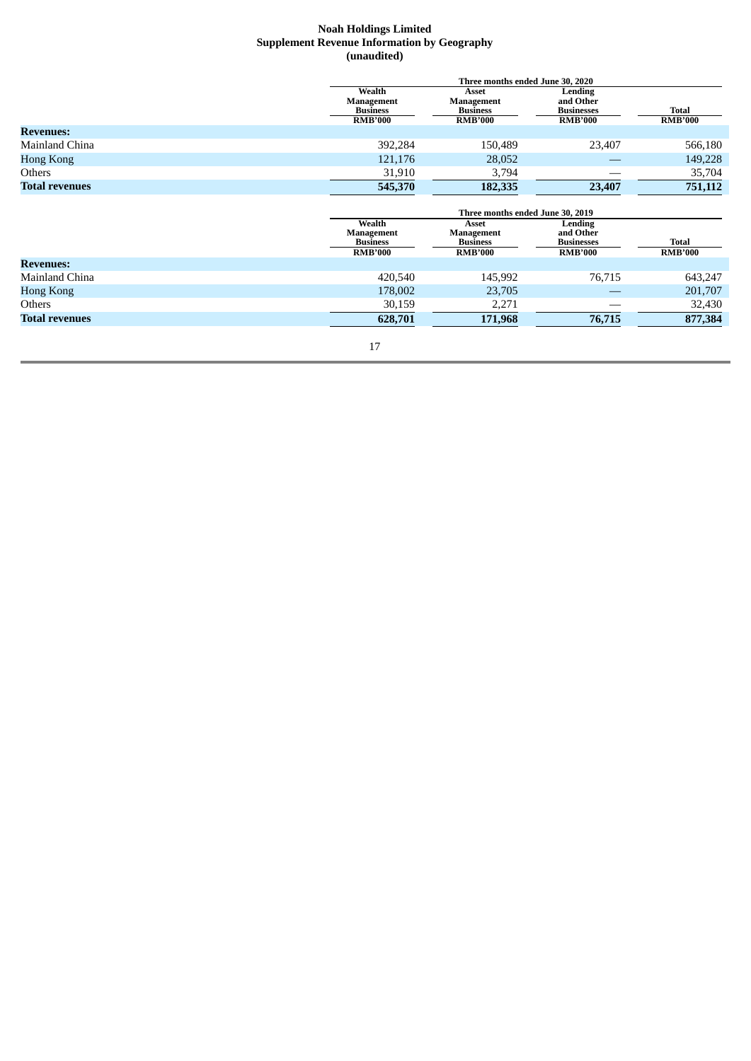## **Noah Holdings Limited Supplement Revenue Information by Geography (unaudited)**

|                       | Three months ended June 30, 2020                          |                                                          |                                                             |                                |
|-----------------------|-----------------------------------------------------------|----------------------------------------------------------|-------------------------------------------------------------|--------------------------------|
|                       | Wealth<br>Management<br><b>Business</b><br><b>RMB'000</b> | Asset<br>Management<br><b>Business</b><br><b>RMB'000</b> | Lending<br>and Other<br><b>Businesses</b><br><b>RMB'000</b> | <b>Total</b><br><b>RMB'000</b> |
| <b>Revenues:</b>      |                                                           |                                                          |                                                             |                                |
| Mainland China        | 392,284                                                   | 150,489                                                  | 23,407                                                      | 566,180                        |
| <b>Hong Kong</b>      | 121,176                                                   | 28,052                                                   |                                                             | 149,228                        |
| Others                | 31,910                                                    | 3,794                                                    |                                                             | 35,704                         |
| <b>Total revenues</b> | 545,370                                                   | 182,335                                                  | 23,407                                                      | 751,112                        |

|                       |                                                           | Three months ended June 30, 2019                         |                                                             |                                |
|-----------------------|-----------------------------------------------------------|----------------------------------------------------------|-------------------------------------------------------------|--------------------------------|
|                       | Wealth<br>Management<br><b>Business</b><br><b>RMB'000</b> | Asset<br>Management<br><b>Business</b><br><b>RMB'000</b> | Lending<br>and Other<br><b>Businesses</b><br><b>RMB'000</b> | <b>Total</b><br><b>RMB'000</b> |
| <b>Revenues:</b>      |                                                           |                                                          |                                                             |                                |
| Mainland China        | 420,540                                                   | 145,992                                                  | 76,715                                                      | 643,247                        |
| <b>Hong Kong</b>      | 178,002                                                   | 23,705                                                   |                                                             | 201,707                        |
| Others                | 30,159                                                    | 2,271                                                    |                                                             | 32,430                         |
| <b>Total revenues</b> | 628,701                                                   | 171,968                                                  | 76,715                                                      | 877,384                        |
|                       |                                                           |                                                          |                                                             |                                |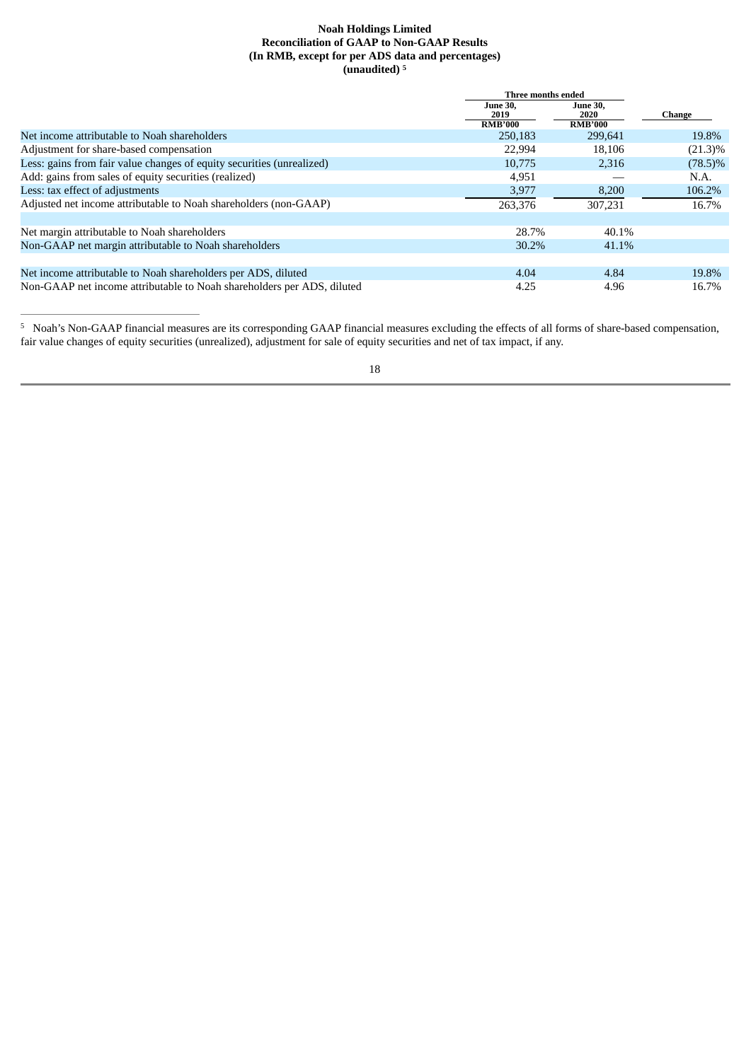## **Noah Holdings Limited Reconciliation of GAAP to Non-GAAP Results (In RMB, except for per ADS data and percentages) (unaudited) 5**

|                                                                        | Three months ended      |                         |            |  |
|------------------------------------------------------------------------|-------------------------|-------------------------|------------|--|
|                                                                        | <b>June 30,</b><br>2019 | <b>June 30,</b><br>2020 | Change     |  |
|                                                                        | <b>RMB'000</b>          | <b>RMB'000</b>          |            |  |
| Net income attributable to Noah shareholders                           | 250,183                 | 299,641                 | 19.8%      |  |
| Adjustment for share-based compensation                                | 22,994                  | 18,106                  | $(21.3)\%$ |  |
| Less: gains from fair value changes of equity securities (unrealized)  | 10.775                  | 2.316                   | $(78.5)\%$ |  |
| Add: gains from sales of equity securities (realized)                  | 4,951                   |                         | N.A.       |  |
| Less: tax effect of adjustments                                        | 3,977                   | 8,200                   | 106.2%     |  |
| Adjusted net income attributable to Noah shareholders (non-GAAP)       | 263,376                 | 307.231                 | 16.7%      |  |
|                                                                        |                         |                         |            |  |
| Net margin attributable to Noah shareholders                           | 28.7%                   | 40.1%                   |            |  |
| Non-GAAP net margin attributable to Noah shareholders                  | 30.2%                   | 41.1%                   |            |  |
|                                                                        |                         |                         |            |  |
| Net income attributable to Noah shareholders per ADS, diluted          | 4.04                    | 4.84                    | 19.8%      |  |
| Non-GAAP net income attributable to Noah shareholders per ADS, diluted | 4.25                    | 4.96                    | 16.7%      |  |

<sup>5</sup> Noah's Non-GAAP financial measures are its corresponding GAAP financial measures excluding the effects of all forms of share-based compensation, fair value changes of equity securities (unrealized), adjustment for sale of equity securities and net of tax impact, if any.